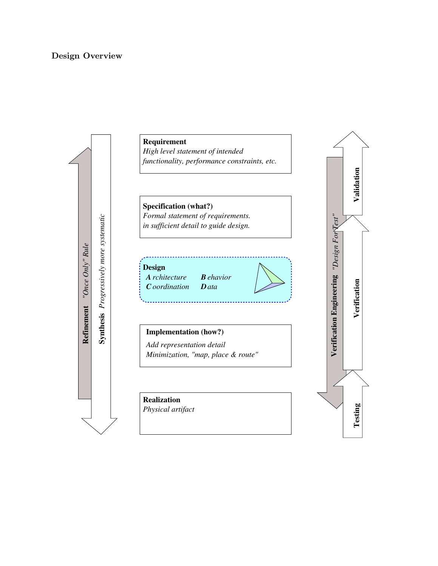# Design Overview

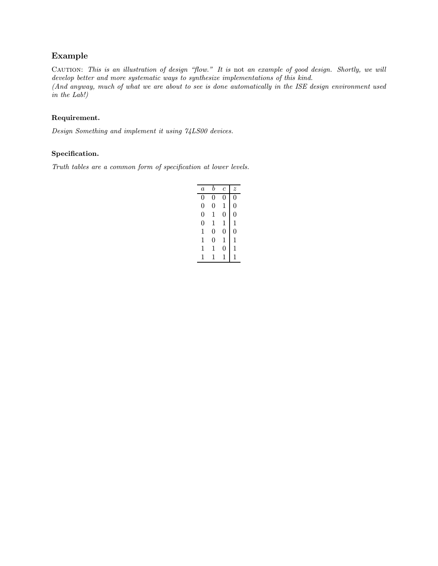# Example

CAUTION: This is an illustration of design "flow." It is not an example of good design. Shortly, we will develop better and more systematic ways to synthesize implementations of this kind. (And anyway, much of what we are about to see is done automatically in the ISE design environment used in the Lab!)

## Requirement.

Design Something and implement it using 74LS00 devices.

### Specification.

Truth tables are a common form of specification at lower levels.

| $\boldsymbol{a}$ | b | $\overline{c}$ | $\tilde{z}$ |
|------------------|---|----------------|-------------|
| 0                | 0 | 0              | 0           |
| $\overline{0}$   | 0 | 1              | 0           |
| $\overline{0}$   | 1 | 0              | 0           |
| $\Omega$         | 1 | 1              | 1           |
| 1                | 0 | 0              | 0           |
| 1                | 0 | 1              | 1           |
| 1                | 1 | 0              | 1           |
| 1                | 1 |                |             |
|                  |   |                |             |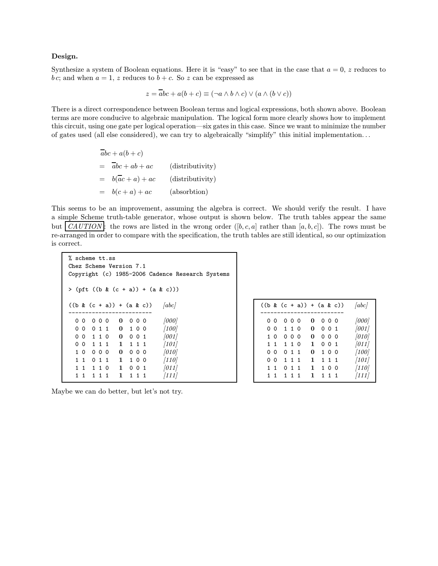#### Design.

Synthesize a system of Boolean equations. Here it is "easy" to see that in the case that  $a = 0$ , z reduces to b c; and when  $a = 1$ , z reduces to  $b + c$ . So z can be expressed as

$$
z = \overline{abc} + a(b + c) \equiv (\neg a \land b \land c) \lor (a \land (b \lor c))
$$

There is a direct correspondence between Boolean terms and logical expressions, both shown above. Boolean terms are more conducive to algebraic manipulation. The logical form more clearly shows how to implement this circuit, using one gate per logical operation—six gates in this case. Since we want to minimize the number of gates used (all else considered), we can try to algebraically "simplify" this initial implementation. . .

$$
\overline{a}bc + a(b+c)
$$
\n
$$
= \overline{a}bc + ab + ac
$$
 (distributivity)  
\n
$$
= b(\overline{a}c + a) + ac
$$
 (distributivity)  
\n
$$
= b(c+a) + ac
$$
 (absorption)

This seems to be an improvement, assuming the algebra is correct. We should verify the result. I have a simple Scheme truth-table generator, whose output is shown below. The truth tables appear the same but  $\mathcal{C}AUTION$ : the rows are listed in the wrong order  $([b, c, a]$  rather than  $[a, b, c]$ ). The rows must be re-arranged in order to compare with the specification, the truth tables are still identical, so our optimization is correct.

| % scheme tt.ss |           |           |       |     | Chez Scheme Version 7.1     |           |       |       |                                     |                                                  |  |
|----------------|-----------|-----------|-------|-----|-----------------------------|-----------|-------|-------|-------------------------------------|--------------------------------------------------|--|
|                |           |           |       |     |                             |           |       |       |                                     | Copyright (c) 1985-2006 Cadence Research Systems |  |
|                |           |           |       |     |                             |           |       |       | $>$ (pft ((b & (c + a)) + (a & c))) |                                                  |  |
|                |           |           |       |     | $((b & (c + a)) + (a & c))$ |           |       |       | $\vert abc \vert$                   |                                                  |  |
|                | 00        |           |       | 000 |                             | 0000      |       |       | 000                                 |                                                  |  |
|                |           | 0 1 1     |       |     |                             | 0 1 0 0   |       |       | [100]                               |                                                  |  |
|                |           | 00110     |       |     |                             | $0 \t001$ |       |       | 001                                 |                                                  |  |
|                |           | 00 1 1 1  |       |     |                             | 1 1 1 1   |       |       | 101                                 |                                                  |  |
|                |           | 10000     |       |     | 0                           |           | 000   |       | (010)                               |                                                  |  |
|                |           | 1 1 0 1 1 |       |     |                             | 1 100     |       |       | $\left 110\right $                  |                                                  |  |
|                | $1\quad1$ |           | 1 1 0 |     | $\mathbf{1}$                |           |       | 0 0 1 | 011                                 |                                                  |  |
|                | 11        |           | 1 1 1 |     | $\mathbf{1}$                |           | 1 1 1 |       | [111]                               |                                                  |  |

|   |                |       | $((b & (c + a)) + (a & c))$ |   |           | [abc]              |
|---|----------------|-------|-----------------------------|---|-----------|--------------------|
|   |                |       |                             |   |           |                    |
|   | o o            | ი ი ი |                             | 0 | 000       | [000]              |
|   | 0 <sub>0</sub> | 110   |                             | 0 | 001       | 001                |
|   | $1\,0$         | 0 O   | - 0                         | 0 | $0\,0\,0$ | [010]              |
|   | $1\quad1$      | 1 1 0 |                             | 1 | 001       | [011]              |
|   | o o            | 0 1 1 |                             | 0 | 100       | [100]              |
| 0 | $\Omega$       | 1 1 1 |                             | 1 | 1 1 1     | $\left[101\right]$ |
|   | 11             | 011   |                             | 1 | 100       | $\left[110\right]$ |
|   | 11             | 1 1 1 |                             | 1 | 1 1 1     | 111                |

Maybe we can do better, but let's not try.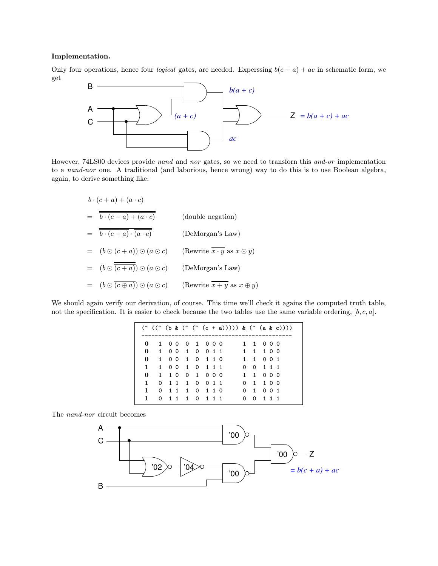#### Implementation.

Only four operations, hence four *logical* gates, are needed. Experssing  $b(c + a) + ac$  in schematic form, we get



However, 74LS00 devices provide nand and nor gates, so we need to transforn this and-or implementation to a nand-nor one. A traditional (and laborious, hence wrong) way to do this is to use Boolean algebra, again, to derive something like:

$$
b \cdot (c + a) + (a \cdot c)
$$
  
=  $\overline{b \cdot (c + a) + (a \cdot c)}$  (double negation)  
=  $\overline{b \cdot (c + a) \cdot (a \cdot c)}$  (DeMorgan's Law)  
=  $(b \odot (c + a)) \odot (a \odot c)$  (Rewrite  $\overline{x \cdot y}$  as  $x \odot y$ )  
=  $(b \odot \overline{(c + a)}) \odot (a \odot c)$  (DeMorgan's Law)  
=  $(b \odot \overline{(c \oplus a)}) \odot (a \odot c)$  (Rewrite  $\overline{x + y}$  as  $x \oplus y$ )

We should again verify our derivation, of course. This time we'll check it agains the computed truth table, not the specification. It is easier to check because the two tables use the same variable ordering,  $[b, c, a]$ .

|              |  |                 |  | $( \tilde{ } ( \tilde{ } ( \tilde{ } ( \tilde{ } ( \tilde{ } ( \tilde{ } ( \tilde{ } ( \tilde{ } ( \tilde{ } ( \tilde{ } ( \tilde{ } ( \tilde{ } ( \tilde{ } ( \tilde{ } ( \tilde{ } ( \tilde{ } ( \tilde{ } ( \tilde{ } ( \tilde{ } ( \tilde{ } ( \tilde{ } ( \tilde{ } ( \tilde{ } ( \tilde{ } ( \tilde{ } ( \tilde{ } ( \tilde{ } ( \tilde{ } ( \tilde{ } ( \tilde{ } ( \tilde{ } ( \tilde{ } ( \tilde{ } ( \tilde{ } ( \tilde{ } ( \tilde{ } ( \tilde$ |           |  |  |
|--------------|--|-----------------|--|------------------------------------------------------------------------------------------------------------------------------------------------------------------------------------------------------------------------------------------------------------------------------------------------------------------------------------------------------------------------------------------------------------------------------------------------------------|-----------|--|--|
|              |  |                 |  | 0 1 0 0 0 1 0 0 0 0 1 1 0 0 0                                                                                                                                                                                                                                                                                                                                                                                                                              |           |  |  |
| $\mathbf{0}$ |  |                 |  | 1 0 0 1 0 0 1 1 1 1 1 1 1 0 0                                                                                                                                                                                                                                                                                                                                                                                                                              |           |  |  |
| $\mathbf{0}$ |  | 1 0 0 1 0 1 1 0 |  | 1 1 0 0 1                                                                                                                                                                                                                                                                                                                                                                                                                                                  |           |  |  |
| $\mathbf{1}$ |  | 1 0 0 1 0 1 1 1 |  |                                                                                                                                                                                                                                                                                                                                                                                                                                                            | 0 0 1 1 1 |  |  |
| 0            |  | 1 10 0 1 0 0 0  |  |                                                                                                                                                                                                                                                                                                                                                                                                                                                            | 1 1 0 0 0 |  |  |
| $\mathbf{1}$ |  | 0 1 1 1 0 0 1 1 |  |                                                                                                                                                                                                                                                                                                                                                                                                                                                            | 0 1 1 0 0 |  |  |
| $\mathbf{1}$ |  | 0 1 1 1 0 1 1 0 |  |                                                                                                                                                                                                                                                                                                                                                                                                                                                            | 0 1 0 0 1 |  |  |
| $\mathbf{1}$ |  | 0 1 1 1 0 1 1 1 |  |                                                                                                                                                                                                                                                                                                                                                                                                                                                            | 0 0 1 1 1 |  |  |

The nand-nor circuit becomes

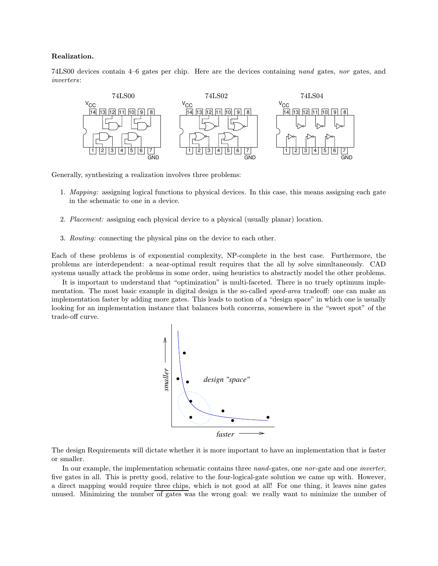#### Realization.

74LS00 devices contain 4–6 gates per chip. Here are the devices containing nand gates, nor gates, and inverters:



Generally, synthesizing a realization involves three problems:

- 1. Mapping: assigning logical functions to physical devices. In this case, this means assigning each gate in the schematic to one in a device.
- 2. Placement: assigning each physical device to a physical (usually planar) location.
- 3. Routing: connecting the physical pins on the device to each other.

Each of these problems is of exponential complexity, NP-complete in the best case. Furthermore, the problems are interdependent: a near-optimal result requires that the all by solve simultaneously. CAD systems usually attack the problems in some order, using heuristics to abstractly model the other problems.

It is important to understand that "optimization" is multi-faceted. There is no truely optimum implementation. The most basic example in digital design is the so-called *speed-area* tradeoff: one can make an implementation faster by adding more gates. This leads to notion of a "design space" in which one is usually looking for an implementation instance that balances both concerns, somewhere in the "sweet spot" of the trade-off curve.



The design Requirements will dictate whether it is more important to have an implementation that is faster or smaller.

In our example, the implementation schematic contains three *nand*-gates, one *nor*-gate and one *inverter*, five gates in all. This is pretty good, relative to the four-logical-gate solution we came up with. However, a direct mapping would require three chips, which is not good at all! For one thing, it leaves nine gates unused. Minimizing the number of gates was the wrong goal: we really want to minimize the number of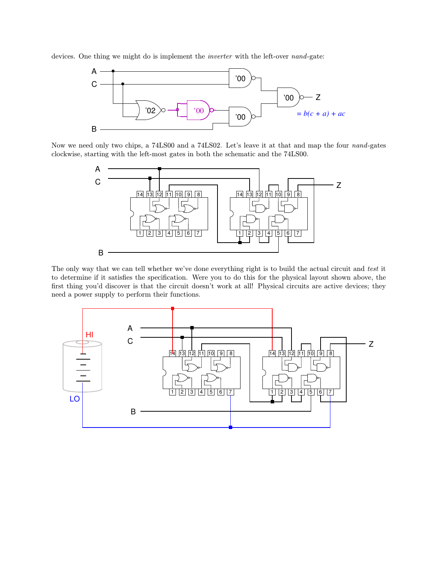devices. One thing we might do is implement the inverter with the left-over nand-gate:



Now we need only two chips, a 74LS00 and a 74LS02. Let's leave it at that and map the four nand-gates clockwise, starting with the left-most gates in both the schematic and the 74LS00.



The only way that we can tell whether we've done everything right is to build the actual circuit and test it to determine if it satisfies the specification. Were you to do this for the physical layout shown above, the first thing you'd discover is that the circuit doesn't work at all! Physical circuits are active devices; they need a power supply to perform their functions.

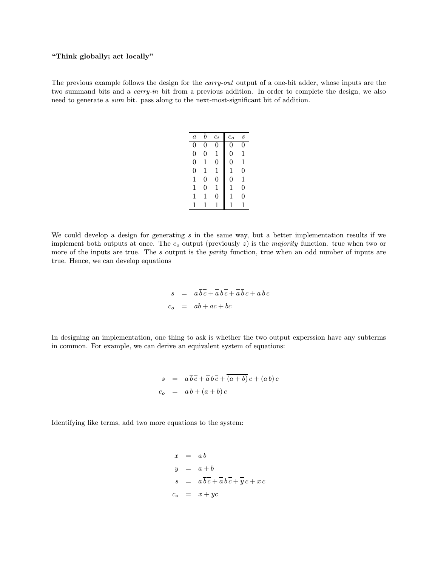### "Think globally; act locally"

The previous example follows the design for the *carry-out* output of a one-bit adder, whose inputs are the two summand bits and a *carry-in* bit from a previous addition. In order to complete the design, we also need to generate a sum bit. pass along to the next-most-significant bit of addition.

| $\overline{a}$ | b | $c_i$       | $c_{o}$ | S |
|----------------|---|-------------|---------|---|
| 0              | 0 | 0           | 0       | 0 |
| 0              | 0 | 1           | 0       | 1 |
| $\overline{0}$ | 1 | 0           | 0       | 1 |
| 0              | 1 | $\mathbf 1$ | 1       | 0 |
| 1              | 0 | 0           | 0       | 1 |
| 1              | 0 | $\mathbf 1$ | 1       | 0 |
| 1              | 1 | 0           | 1       | 0 |
| 1              | 1 | 1           |         |   |

We could develop a design for generating s in the same way, but a better implementation results if we implement both outputs at once. The  $c<sub>o</sub>$  output (previously  $z$ ) is the *majority* function. true when two or more of the inputs are true. The s output is the *parity* function, true when an odd number of inputs are true. Hence, we can develop equations

> $s = a\overline{bc} + \overline{a}b\overline{c} + \overline{a}\overline{b}c + a\overline{b}c$  $c_o = ab + ac + bc$

In designing an implementation, one thing to ask is whether the two output experssion have any subterms in common. For example, we can derive an equivalent system of equations:

$$
s = a\overline{bc} + \overline{a}b\overline{c} + \overline{(a+b)}c + (ab)c
$$
  

$$
c_o = ab + (a+b)c
$$

Identifying like terms, add two more equations to the system:

$$
x = ab
$$
  
\n
$$
y = a + b
$$
  
\n
$$
s = a\overline{bc} + \overline{a}b\overline{c} + \overline{y}c + xc
$$
  
\n
$$
c_o = x + yc
$$